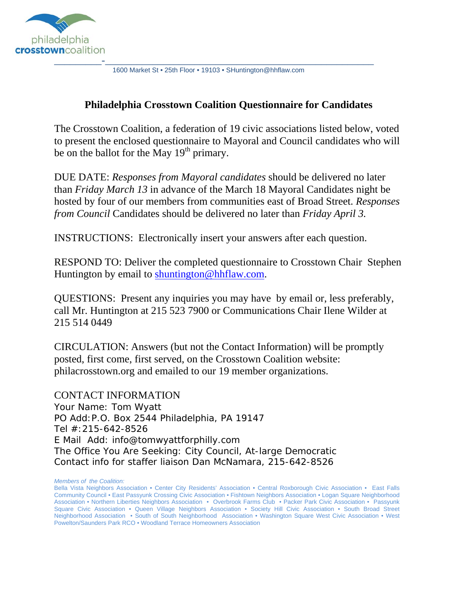

1600 Market St • 25th Floor • 19103 • SHuntington@hhflaw.com

### **Philadelphia Crosstown Coalition Questionnaire for Candidates**

The Crosstown Coalition, a federation of 19 civic associations listed below, voted to present the enclosed questionnaire to Mayoral and Council candidates who will be on the ballot for the May  $19<sup>th</sup>$  primary.

DUE DATE: *Responses from Mayoral candidates* should be delivered no later than *Friday March 13* in advance of the March 18 Mayoral Candidates night be hosted by four of our members from communities east of Broad Street. *Responses from Council* Candidates should be delivered no later than *Friday April 3.*

INSTRUCTIONS: Electronically insert your answers after each question.

RESPOND TO: Deliver the completed questionnaire to Crosstown Chair Stephen Huntington by email to shuntington@hhflaw.com.

QUESTIONS: Present any inquiries you may have by email or, less preferably, call Mr. Huntington at 215 523 7900 or Communications Chair Ilene Wilder at 215 514 0449

CIRCULATION: Answers (but not the Contact Information) will be promptly posted, first come, first served, on the Crosstown Coalition website: philacrosstown.org and emailed to our 19 member organizations.

CONTACT INFORMATION Your Name: Tom Wyatt PO Add:P.O. Box 2544 Philadelphia, PA 19147 Tel #:215-642-8526 E Mail Add: info@tomwyattforphilly.com The Office You Are Seeking: City Council, At-large Democratic Contact info for staffer liaison Dan McNamara, 215-642-8526

*Members of the Coalition:*

Bella Vista Neighbors Association • Center City Residents' Association • Central Roxborough Civic Association • East Falls Community Council • East Passyunk Crossing Civic Association • Fishtown Neighbors Association • Logan Square Neighborhood Association • Northern Liberties Neighbors Association • Overbrook Farms Club • Packer Park Civic Association • Passyunk Square Civic Association • Queen Village Neighbors Association • Society Hill Civic Association • South Broad Street Neighborhood Association • South of South Neighborhood Association • Washington Square West Civic Association • West Powelton/Saunders Park RCO • Woodland Terrace Homeowners Association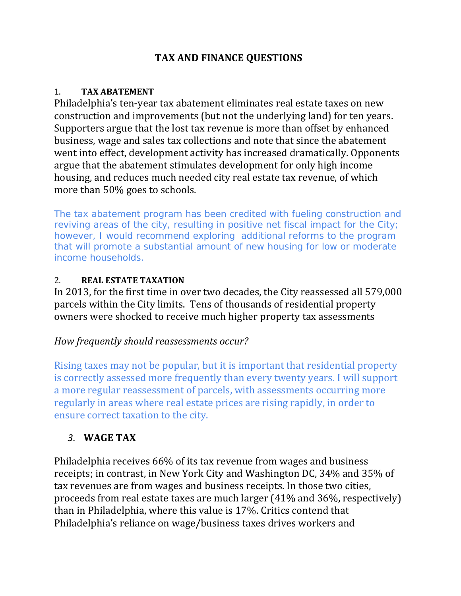## **TAX AND FINANCE QUESTIONS**

#### 1. **TAX ABATEMENT**

Philadelphia's ten-year tax abatement eliminates real estate taxes on new construction and improvements (but not the underlying land) for ten years. Supporters argue that the lost tax revenue is more than offset by enhanced business, wage and sales tax collections and note that since the abatement went into effect, development activity has increased dramatically. Opponents argue that the abatement stimulates development for only high income housing, and reduces much needed city real estate tax revenue, of which more than  $50\%$  goes to schools.

The tax abatement program has been credited with fueling construction and reviving areas of the city, resulting in positive net fiscal impact for the City; however, I would recommend exploring additional reforms to the program that will promote a substantial amount of new housing for low or moderate income households.

### 2. **REAL ESTATE TAXATION**

In 2013, for the first time in over two decades, the City reassessed all 579,000 parcels within the City limits. Tens of thousands of residential property owners were shocked to receive much higher property tax assessments

## *How frequently should reassessments occur?*

Rising taxes may not be popular, but it is important that residential property is correctly assessed more frequently than every twenty years. I will support a more regular reassessment of parcels, with assessments occurring more regularly in areas where real estate prices are rising rapidly, in order to ensure correct taxation to the city.

# *3.* **WAGE TAX**

Philadelphia receives 66% of its tax revenue from wages and business receipts; in contrast, in New York City and Washington DC, 34% and 35% of tax revenues are from wages and business receipts. In those two cities, proceeds from real estate taxes are much larger  $(41\%$  and  $36\%$ , respectively) than in Philadelphia, where this value is 17%. Critics contend that Philadelphia's reliance on wage/business taxes drives workers and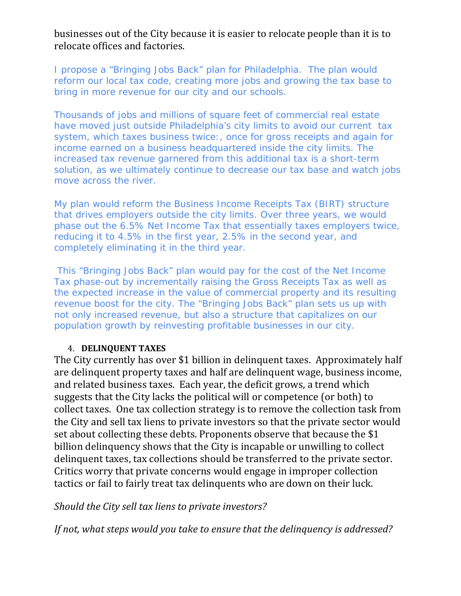businesses out of the City because it is easier to relocate people than it is to relocate offices and factories.

I propose a "Bringing Jobs Back" plan for Philadelphia. The plan would reform our local tax code, creating more jobs and growing the tax base to bring in more revenue for our city and our schools.

Thousands of jobs and millions of square feet of commercial real estate have moved just outside Philadelphia's city limits to avoid our current tax system, which taxes business twice:, once for gross receipts and again for income earned on a business headquartered inside the city limits. The increased tax revenue garnered from this additional tax is a short-term solution, as we ultimately continue to decrease our tax base and watch jobs move across the river.

My plan would reform the Business Income Receipts Tax (BIRT) structure that drives employers outside the city limits. Over three years, we would phase out the 6.5% Net Income Tax that essentially taxes employers twice, reducing it to 4.5% in the first year, 2.5% in the second year, and completely eliminating it in the third year.

 This "Bringing Jobs Back" plan would pay for the cost of the Net Income Tax phase-out by incrementally raising the Gross Receipts Tax as well as the expected increase in the value of commercial property and its resulting revenue boost for the city. The "Bringing Jobs Back" plan sets us up with not only increased revenue, but also a structure that capitalizes on our population growth by reinvesting profitable businesses in our city.

#### 4. **DELINQUENT TAXES**

The City currently has over \$1 billion in delinguent taxes. Approximately half are delinquent property taxes and half are delinquent wage, business income, and related business taxes. Each year, the deficit grows, a trend which suggests that the City lacks the political will or competence (or both) to collect taxes. One tax collection strategy is to remove the collection task from the City and sell tax liens to private investors so that the private sector would set about collecting these debts. Proponents observe that because the \$1 billion delinquency shows that the City is incapable or unwilling to collect delinquent taxes, tax collections should be transferred to the private sector. Critics worry that private concerns would engage in improper collection tactics or fail to fairly treat tax delinquents who are down on their luck.

*Should the City sell tax liens to private investors?*

*If not, what steps would you take to ensure that the delinquency is addressed?*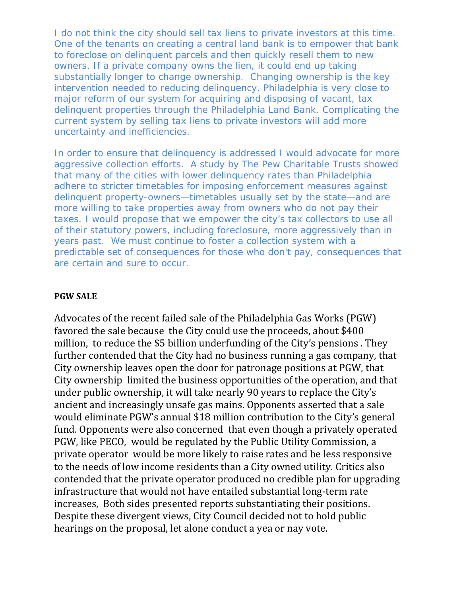I do not think the city should sell tax liens to private investors at this time. One of the tenants on creating a central land bank is to empower that bank to foreclose on delinquent parcels and then quickly resell them to new owners. If a private company owns the lien, it could end up taking substantially longer to change ownership. Changing ownership is the key intervention needed to reducing delinquency. Philadelphia is very close to major reform of our system for acquiring and disposing of vacant, tax delinquent properties through the Philadelphia Land Bank. Complicating the current system by selling tax liens to private investors will add more uncertainty and inefficiencies.

In order to ensure that delinquency is addressed I would advocate for more aggressive collection efforts. A study by The Pew Charitable Trusts showed that many of the cities with lower delinquency rates than Philadelphia adhere to stricter timetables for imposing enforcement measures against delinquent property-owners—timetables usually set by the state—and are more willing to take properties away from owners who do not pay their taxes. I would propose that we empower the city's tax collectors to use all of their statutory powers, including foreclosure, more aggressively than in years past. We must continue to foster a collection system with a predictable set of consequences for those who don't pay, consequences that are certain and sure to occur.

#### **PGW SALE**

Advocates of the recent failed sale of the Philadelphia Gas Works (PGW) favored the sale because the City could use the proceeds, about \$400 million, to reduce the \$5 billion underfunding of the City's pensions. They further contended that the City had no business running a gas company, that City ownership leaves open the door for patronage positions at PGW, that City ownership limited the business opportunities of the operation, and that under public ownership, it will take nearly 90 years to replace the City's ancient and increasingly unsafe gas mains. Opponents asserted that a sale would eliminate PGW's annual \$18 million contribution to the City's general fund. Opponents were also concerned that even though a privately operated PGW, like PECO, would be regulated by the Public Utility Commission, a private operator would be more likely to raise rates and be less responsive to the needs of low income residents than a City owned utility. Critics also contended that the private operator produced no credible plan for upgrading infrastructure that would not have entailed substantial long-term rate increases. Both sides presented reports substantiating their positions. Despite these divergent views, City Council decided not to hold public hearings on the proposal, let alone conduct a yea or nay vote.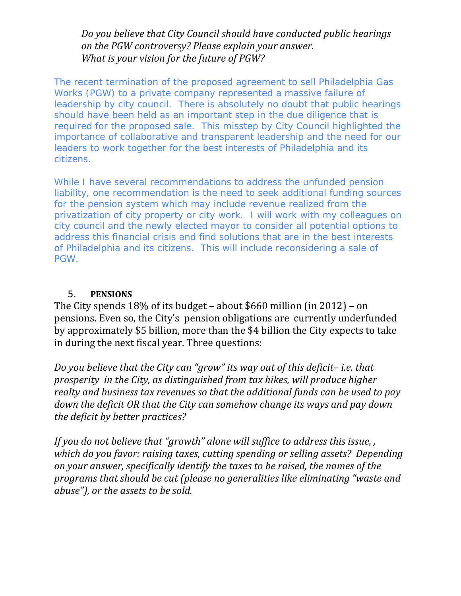### *Do you believe that City Council should have conducted public hearings on the PGW controversy? Please explain your answer. What is your vision for the future of PGW?*

The recent termination of the proposed agreement to sell Philadelphia Gas Works (PGW) to a private company represented a massive failure of leadership by city council. There is absolutely no doubt that public hearings should have been held as an important step in the due diligence that is required for the proposed sale. This misstep by City Council highlighted the importance of collaborative and transparent leadership and the need for our leaders to work together for the best interests of Philadelphia and its citizens.

While I have several recommendations to address the unfunded pension liability, one recommendation is the need to seek additional funding sources for the pension system which may include revenue realized from the privatization of city property or city work. I will work with my colleagues on city council and the newly elected mayor to consider all potential options to address this financial crisis and find solutions that are in the best interests of Philadelphia and its citizens. This will include reconsidering a sale of PGW.

#### 5. **PENSIONS**

The City spends  $18\%$  of its budget – about \$660 million (in 2012) – on pensions. Even so, the City's pension obligations are currently underfunded by approximately \$5 billion, more than the \$4 billion the City expects to take in during the next fiscal year. Three questions:

*Do you believe that the City can "grow" its way out of this deficit– i.e. that prosperity in the City, as distinguished from tax hikes, will produce higher realty and business tax revenues so that the additional funds can be used to pay down the deficit OR that the City can somehow change its ways and pay down the deficit by better practices?*

*If you do not believe that "growth" alone will suffice to address this issue, , which do you favor: raising taxes, cutting spending or selling assets? Depending on your answer, specifically identify the taxes to be raised, the names of the programs that should be cut (please no generalities like eliminating "waste and abuse"), or the assets to be sold.*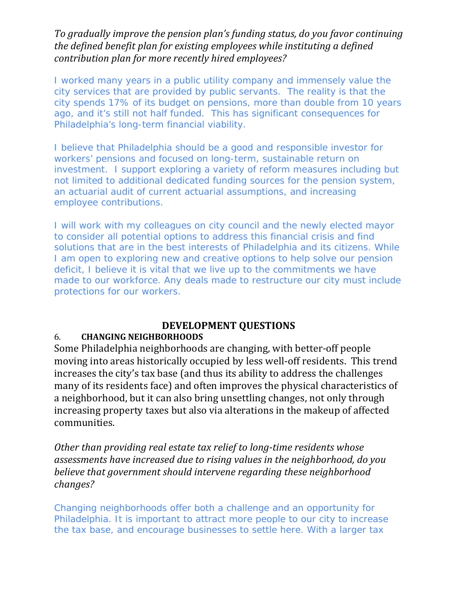### *To gradually improve the pension plan's funding status, do you favor continuing the defined benefit plan for existing employees while instituting a defined contribution plan for more recently hired employees?*

I worked many years in a public utility company and immensely value the city services that are provided by public servants. The reality is that the city spends 17% of its budget on pensions, more than double from 10 years ago, and it's still not half funded. This has significant consequences for Philadelphia's long-term financial viability.

I believe that Philadelphia should be a good and responsible investor for workers' pensions and focused on long-term, sustainable return on investment. I support exploring a variety of reform measures including but not limited to additional dedicated funding sources for the pension system, an actuarial audit of current actuarial assumptions, and increasing employee contributions.

I will work with my colleagues on city council and the newly elected mayor to consider all potential options to address this financial crisis and find solutions that are in the best interests of Philadelphia and its citizens. While I am open to exploring new and creative options to help solve our pension deficit, I believe it is vital that we live up to the commitments we have made to our workforce. Any deals made to restructure our city must include protections for our workers.

## **DEVELOPMENT QUESTIONS**

## 6. **CHANGING NEIGHBORHOODS**

Some Philadelphia neighborhoods are changing, with better-off people moving into areas historically occupied by less well-off residents. This trend increases the city's tax base (and thus its ability to address the challenges many of its residents face) and often improves the physical characteristics of a neighborhood, but it can also bring unsettling changes, not only through increasing property taxes but also via alterations in the makeup of affected communities. 

*Other than providing real estate tax relief to long‐time residents whose assessments have increased due to rising values in the neighborhood, do you believe that government should intervene regarding these neighborhood changes?*

Changing neighborhoods offer both a challenge and an opportunity for Philadelphia. It is important to attract more people to our city to increase the tax base, and encourage businesses to settle here. With a larger tax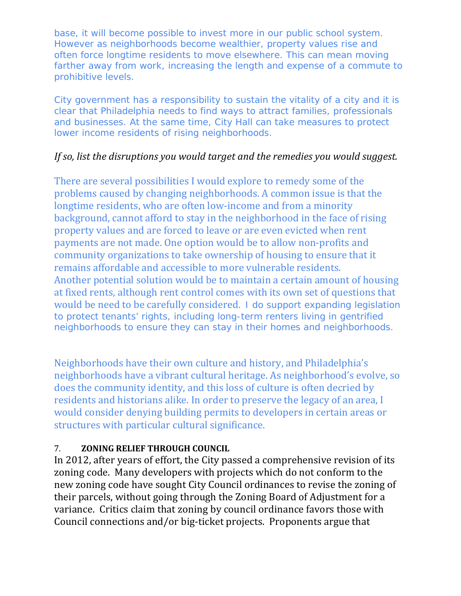base, it will become possible to invest more in our public school system. However as neighborhoods become wealthier, property values rise and often force longtime residents to move elsewhere. This can mean moving farther away from work, increasing the length and expense of a commute to prohibitive levels.

City government has a responsibility to sustain the vitality of a city and it is clear that Philadelphia needs to find ways to attract families, professionals and businesses. At the same time, City Hall can take measures to protect lower income residents of rising neighborhoods.

## *If so, list the disruptions you would target and the remedies you would suggest.*

There are several possibilities I would explore to remedy some of the problems caused by changing neighborhoods. A common issue is that the longtime residents, who are often low-income and from a minority background, cannot afford to stay in the neighborhood in the face of rising property values and are forced to leave or are even evicted when rent payments are not made. One option would be to allow non-profits and community organizations to take ownership of housing to ensure that it remains affordable and accessible to more vulnerable residents. Another potential solution would be to maintain a certain amount of housing at fixed rents, although rent control comes with its own set of questions that would be need to be carefully considered. I do support expanding legislation to protect tenants' rights, including long-term renters living in gentrified neighborhoods to ensure they can stay in their homes and neighborhoods.

Neighborhoods have their own culture and history, and Philadelphia's neighborhoods have a vibrant cultural heritage. As neighborhood's evolve, so does the community identity, and this loss of culture is often decried by residents and historians alike. In order to preserve the legacy of an area, I would consider denying building permits to developers in certain areas or structures with particular cultural significance.

## 7. **ZONING RELIEF THROUGH COUNCIL**

In 2012, after years of effort, the City passed a comprehensive revision of its zoning code. Many developers with projects which do not conform to the new zoning code have sought City Council ordinances to revise the zoning of their parcels, without going through the Zoning Board of Adjustment for a variance. Critics claim that zoning by council ordinance favors those with Council connections and/or big-ticket projects. Proponents argue that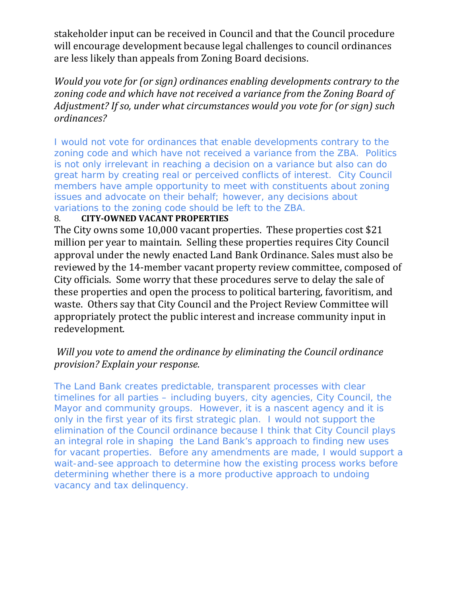stakeholder input can be received in Council and that the Council procedure will encourage development because legal challenges to council ordinances are less likely than appeals from Zoning Board decisions.

*Would you vote for (or sign) ordinances enabling developments contrary to the zoning code and which have not received a variance from the Zoning Board of Adjustment? If so, under what circumstances would you vote for (or sign) such ordinances?*

I would not vote for ordinances that enable developments contrary to the zoning code and which have not received a variance from the ZBA. Politics is not only irrelevant in reaching a decision on a variance but also can do great harm by creating real or perceived conflicts of interest. City Council members have ample opportunity to meet with constituents about zoning issues and advocate on their behalf; however, any decisions about variations to the zoning code should be left to the ZBA.

### 8. **CITY‐OWNED VACANT PROPERTIES**

The City owns some 10,000 vacant properties. These properties cost \$21 million per year to maintain. Selling these properties requires City Council approval under the newly enacted Land Bank Ordinance. Sales must also be reviewed by the 14-member vacant property review committee, composed of City officials. Some worry that these procedures serve to delay the sale of these properties and open the process to political bartering, favoritism, and waste. Others say that City Council and the Project Review Committee will appropriately protect the public interest and increase community input in redevelopment. 

### *Will you vote to amend the ordinance by eliminating the Council ordinance provision? Explain your response.*

The Land Bank creates predictable, transparent processes with clear timelines for all parties – including buyers, city agencies, City Council, the Mayor and community groups. However, it is a nascent agency and it is only in the first year of its first strategic plan. I would not support the elimination of the Council ordinance because I think that City Council plays an integral role in shaping the Land Bank's approach to finding new uses for vacant properties. Before any amendments are made, I would support a wait-and-see approach to determine how the existing process works before determining whether there is a more productive approach to undoing vacancy and tax delinquency.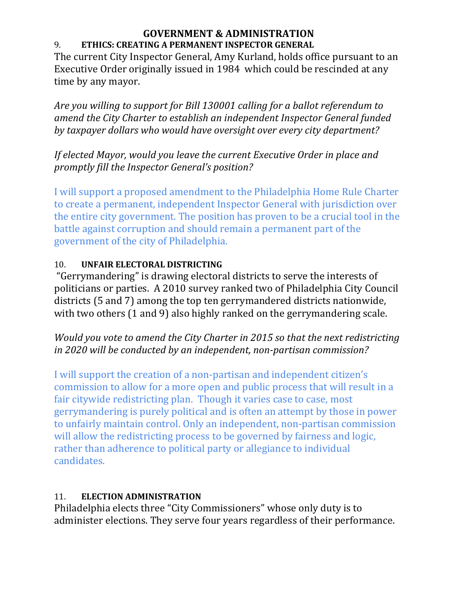#### **GOVERNMENT & ADMINISTRATION** 9. **ETHICS: CREATING A PERMANENT INSPECTOR GENERAL**

The current City Inspector General, Amy Kurland, holds office pursuant to an Executive Order originally issued in 1984 which could be rescinded at any time by any mayor.

*Are you willing to support for Bill 130001 calling for a ballot referendum to amend the City Charter to establish an independent Inspector General funded by taxpayer dollars who would have oversight over every city department?*

## *If elected Mayor, would you leave the current Executive Order in place and promptly fill the Inspector General's position?*

I will support a proposed amendment to the Philadelphia Home Rule Charter to create a permanent, independent Inspector General with jurisdiction over the entire city government. The position has proven to be a crucial tool in the battle against corruption and should remain a permanent part of the government of the city of Philadelphia.

## 10. **UNFAIR ELECTORAL DISTRICTING**

"Gerrymandering" is drawing electoral districts to serve the interests of politicians or parties. A 2010 survey ranked two of Philadelphia City Council districts (5 and 7) among the top ten gerrymandered districts nationwide, with two others  $(1 \text{ and } 9)$  also highly ranked on the gerrymandering scale.

# *Would you vote to amend the City Charter in 2015 so that the next redistricting in 2020 will be conducted by an independent, non‐partisan commission?*

I will support the creation of a non-partisan and independent citizen's commission to allow for a more open and public process that will result in a fair citywide redistricting plan. Though it varies case to case, most gerrymandering is purely political and is often an attempt by those in power to unfairly maintain control. Only an independent, non-partisan commission will allow the redistricting process to be governed by fairness and logic, rather than adherence to political party or allegiance to individual candidates.

# 11. **ELECTION ADMINISTRATION**

Philadelphia elects three "City Commissioners" whose only duty is to administer elections. They serve four years regardless of their performance.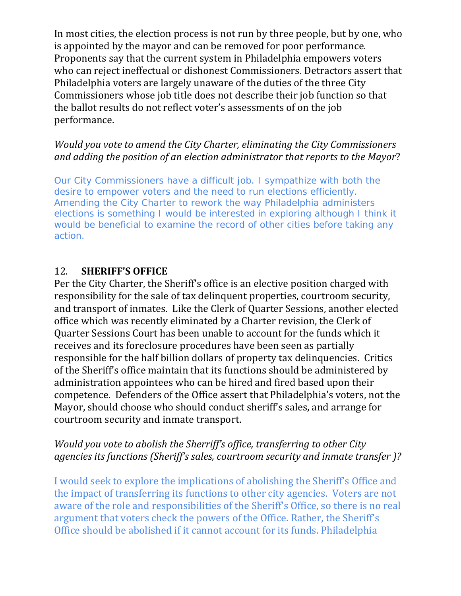In most cities, the election process is not run by three people, but by one, who is appointed by the mayor and can be removed for poor performance. Proponents say that the current system in Philadelphia empowers voters who can reject ineffectual or dishonest Commissioners. Detractors assert that Philadelphia voters are largely unaware of the duties of the three City Commissioners whose job title does not describe their job function so that the ballot results do not reflect voter's assessments of on the job performance. 

## *Would you vote to amend the City Charter, eliminating the City Commissioners and adding the position of an election administrator that reports to the Mayor*?

Our City Commissioners have a difficult job. I sympathize with both the desire to empower voters and the need to run elections efficiently. Amending the City Charter to rework the way Philadelphia administers elections is something I would be interested in exploring although I think it would be beneficial to examine the record of other cities before taking any action.

## 12. **SHERIFF'S OFFICE**

Per the City Charter, the Sheriff's office is an elective position charged with responsibility for the sale of tax delinquent properties, courtroom security, and transport of inmates. Like the Clerk of Quarter Sessions, another elected office which was recently eliminated by a Charter revision, the Clerk of Quarter Sessions Court has been unable to account for the funds which it receives and its foreclosure procedures have been seen as partially responsible for the half billion dollars of property tax delinquencies. Critics of the Sheriff's office maintain that its functions should be administered by administration appointees who can be hired and fired based upon their competence. Defenders of the Office assert that Philadelphia's voters, not the Mayor, should choose who should conduct sheriff's sales, and arrange for courtroom security and inmate transport.

# *Would you vote to abolish the Sherriff's office, transferring to other City agencies its functions (Sheriff's sales, courtroom security and inmate transfer )?*

I would seek to explore the implications of abolishing the Sheriff's Office and the impact of transferring its functions to other city agencies. Voters are not aware of the role and responsibilities of the Sheriff's Office, so there is no real argument that voters check the powers of the Office. Rather, the Sheriff's Office should be abolished if it cannot account for its funds. Philadelphia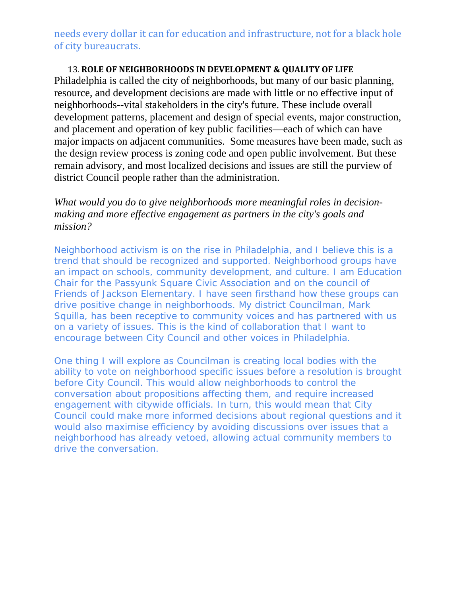needs every dollar it can for education and infrastructure, not for a black hole of city bureaucrats.

#### 13. **ROLE OF NEIGHBORHOODS IN DEVELOPMENT & QUALITY OF LIFE**

Philadelphia is called the city of neighborhoods, but many of our basic planning, resource, and development decisions are made with little or no effective input of neighborhoods--vital stakeholders in the city's future. These include overall development patterns, placement and design of special events, major construction, and placement and operation of key public facilities—each of which can have major impacts on adjacent communities. Some measures have been made, such as the design review process is zoning code and open public involvement. But these remain advisory, and most localized decisions and issues are still the purview of district Council people rather than the administration.

### *What would you do to give neighborhoods more meaningful roles in decisionmaking and more effective engagement as partners in the city's goals and mission?*

Neighborhood activism is on the rise in Philadelphia, and I believe this is a trend that should be recognized and supported. Neighborhood groups have an impact on schools, community development, and culture. I am Education Chair for the Passyunk Square Civic Association and on the council of Friends of Jackson Elementary. I have seen firsthand how these groups can drive positive change in neighborhoods. My district Councilman, Mark Squilla, has been receptive to community voices and has partnered with us on a variety of issues. This is the kind of collaboration that I want to encourage between City Council and other voices in Philadelphia.

One thing I will explore as Councilman is creating local bodies with the ability to vote on neighborhood specific issues before a resolution is brought before City Council. This would allow neighborhoods to control the conversation about propositions affecting them, and require increased engagement with citywide officials. In turn, this would mean that City Council could make more informed decisions about regional questions and it would also maximise efficiency by avoiding discussions over issues that a neighborhood has already vetoed, allowing actual community members to drive the conversation.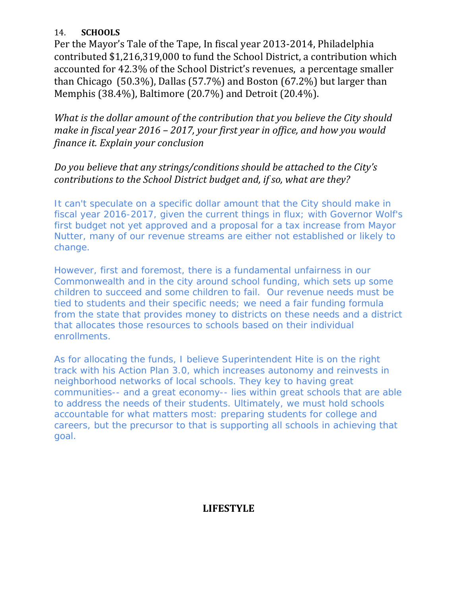### 14. **SCHOOLS**

Per the Mayor's Tale of the Tape, In fiscal year 2013-2014, Philadelphia contributed \$1,216,319,000 to fund the School District, a contribution which accounted for 42.3% of the School District's revenues, a percentage smaller than Chicago  $(50.3\%)$ , Dallas  $(57.7\%)$  and Boston  $(67.2\%)$  but larger than Memphis (38.4%), Baltimore (20.7%) and Detroit (20.4%).

*What is the dollar amount of the contribution that you believe the City should make in fiscal year 2016 – 2017, your first year in office, and how you would finance it. Explain your conclusion*

*Do you believe that any strings/conditions should be attached to the City's contributions to the School District budget and, if so, what are they?*

It can't speculate on a specific dollar amount that the City should make in fiscal year 2016-2017, given the current things in flux; with Governor Wolf's first budget not yet approved and a proposal for a tax increase from Mayor Nutter, many of our revenue streams are either not established or likely to change.

However, first and foremost, there is a fundamental unfairness in our Commonwealth and in the city around school funding, which sets up some children to succeed and some children to fail. Our revenue needs must be tied to students and their specific needs; we need a fair funding formula from the state that provides money to districts on these needs and a district that allocates those resources to schools based on their individual enrollments.

As for allocating the funds, I believe Superintendent Hite is on the right track with his Action Plan 3.0, which increases autonomy and reinvests in neighborhood networks of local schools. They key to having great communities-- and a great economy-- lies within great schools that are able to address the needs of their students. Ultimately, we must hold schools accountable for what matters most: preparing students for college and careers, but the precursor to that is supporting all schools in achieving that goal.

# **LIFESTYLE**